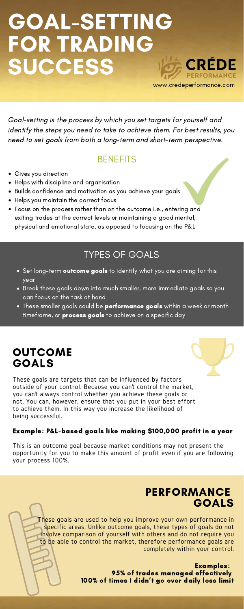#### **OUTCOME** GOALS

These goals are targets that can be influenced by factors outside of your control. Because you can't control the market, you can't always control whether you achieve these goals or not. You can, however, ensure that you put in your best effort to achieve them. In this way you increase the likelihood of being successful.

- Gives you direction
- Helps with discipline and organisation
- Builds confidence and motivation as you achieve your goals
- Helps you maintain the correct focus
- Focus on the process rather than on the outcome i.e., entering and exiting trades at the correct levels or maintaining a good mental, physical and emotional state, as opposed to focusing on the P&L

#### Example: P&L-based goals like making \$100,000 profit in a year

This is an outcome goal because market conditions may not present the opportunity for you to make this amount of profit even if you are following your process 100%.

#### PERFORMANCE GOALS

# GOAL-SETTING FOR TRADING **SUCCESS**

Goal-setting is the process by which you set targets for yourself and identify the steps you need to take to achieve them. For best results, you need to set goals from both a long-term and short-term perspective.

#### **BENEFITS**

www.credeperformance.com

**CRÉDE** 

PERFORMANCE

#### TYPES OF GOALS

- $\bullet\,$  Set long-term  $\,$  outcome goals to identify what you are aiming for this year
- Break these goals down into much smaller, more immediate goals so you can focus on the task at hand
- These smaller goals could be **performance goals** within a week or month timeframe, or **process goals** to achieve on a specific day

Examples: 95% of trades managed effectively 100% of times I didn 't go over daily loss limit

These goals are used to help you improve your own performance in specific areas. Unlike outcome goals, these types of goals do not involve comparison of yourself with others and do not require you to be able to control the market, therefore performance goals are completely within your control.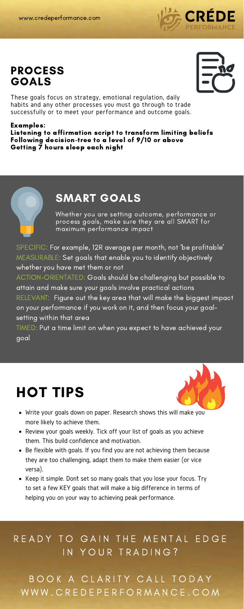These goals focus on strategy, emotional regulation, daily habits and any other processes you must go through to trade successfully or to meet your performance and outcome goals.

Listening to affirmation script to transform limiting beliefs Following decision-tree to a level of 9/10 or above Getting 7 hours sleep each night



#### PROCESS GOALS



#### Examples:

ACTION-ORIENTATED: Goals should be challenging but possible to attain and make sure your goals involve practical actions

RELEVANT: Figure out the key area that will make the biggest impact on your performance if you work on it, and then focus your goalsetting within that area

Whether you are setting outcome, performance or process goals, make sure they are all SMART for maximum performance impact

### SMART GOALS

SPECIFIC: For example, 12R average per month, not 'be profitable ' MEASURABLE: Set goals that enable you to identify objectively whether you have met them or not

- Write your goals down on paper. Research shows this will make you impact more likely to achieve them.
- Review your goals weekly. Tick off your list of goals as you achieve them. This build confidence and motivation.
- Be flexible with goals. If you find you are not achieving them because they are too challenging, adapt them to make them easier (or vice versa).
- Keep it simple. Dont set so many goals that you lose your focus. Try to set a few KEY goals that will make a big difference in terms of helping you on your way to achieving peak performance.

### READY TO GAIN THE MENTAL EDGE IN YOUR TRADING?

BOOK A CLARITY CALL TODAY W W W . C R E D E P E R F O R M A N C E . C O M

TIMED: Put a time limit on when you expect to have achieved your goal

## HOT TIPS